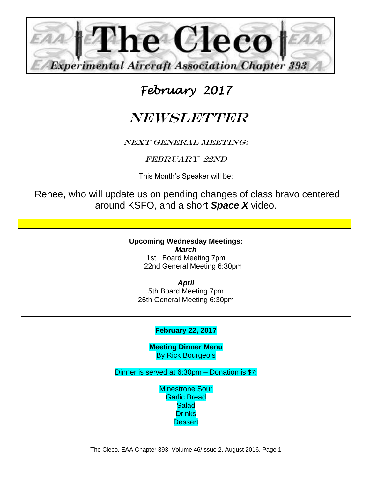

## *February 2017*

# **NEWSLETTER**

#### NEXT GENERAL MEETING:

### FEBRUARY 22ND

This Month's Speaker will be:

Renee, who will update us on pending changes of class bravo centered around KSFO, and a short *Space X* video.

> **Upcoming Wednesday Meetings:** *March*  1st Board Meeting 7pm 22nd General Meeting 6:30pm

*April* 5th Board Meeting 7pm 26th General Meeting 6:30pm

#### **February 22, 2017**

**Meeting Dinner Menu** By Rick Bourgeois

Dinner is served at 6:30pm – Donation is \$7:

Minestrone Sour Garlic Bread **Salad Drinks Dessert**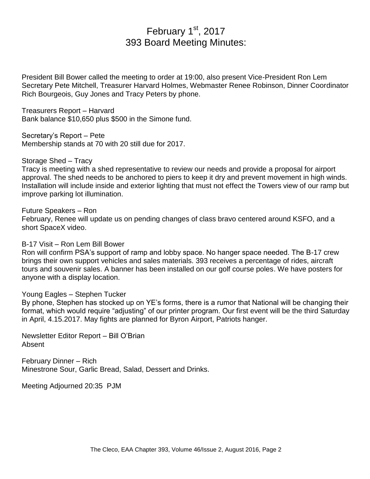## February 1st, 2017 393 Board Meeting Minutes:

President Bill Bower called the meeting to order at 19:00, also present Vice-President Ron Lem Secretary Pete Mitchell, Treasurer Harvard Holmes, Webmaster Renee Robinson, Dinner Coordinator Rich Bourgeois, Guy Jones and Tracy Peters by phone.

Treasurers Report – Harvard Bank balance \$10,650 plus \$500 in the Simone fund.

Secretary's Report – Pete Membership stands at 70 with 20 still due for 2017.

Storage Shed – Tracy

Tracy is meeting with a shed representative to review our needs and provide a proposal for airport approval. The shed needs to be anchored to piers to keep it dry and prevent movement in high winds. Installation will include inside and exterior lighting that must not effect the Towers view of our ramp but improve parking lot illumination.

#### Future Speakers – Ron

February, Renee will update us on pending changes of class bravo centered around KSFO, and a short SpaceX video.

#### B-17 Visit – Ron Lem Bill Bower

Ron will confirm PSA's support of ramp and lobby space. No hanger space needed. The B-17 crew brings their own support vehicles and sales materials. 393 receives a percentage of rides, aircraft tours and souvenir sales. A banner has been installed on our golf course poles. We have posters for anyone with a display location.

#### Young Eagles – Stephen Tucker

By phone, Stephen has stocked up on YE's forms, there is a rumor that National will be changing their format, which would require "adjusting" of our printer program. Our first event will be the third Saturday in April, 4.15.2017. May fights are planned for Byron Airport, Patriots hanger.

Newsletter Editor Report – Bill O'Brian Absent

February Dinner – Rich Minestrone Sour, Garlic Bread, Salad, Dessert and Drinks.

Meeting Adjourned 20:35 PJM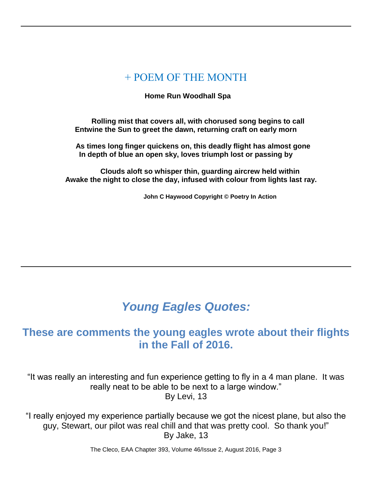## + POEM OF THE MONTH

#### **Home Run Woodhall Spa**

 **Rolling mist that covers all, with chorused song begins to call Entwine the Sun to greet the dawn, returning craft on early morn**

 **As times long finger quickens on, this deadly flight has almost gone In depth of blue an open sky, loves triumph lost or passing by**

 **Clouds aloft so whisper thin, guarding aircrew held within Awake the night to close the day, infused with colour from lights last ray.**

 **John C Haywood Copyright © Poetry In Action**

## *Young Eagles Quotes:*

## **These are comments the young eagles wrote about their flights in the Fall of 2016.**

"It was really an interesting and fun experience getting to fly in a 4 man plane. It was really neat to be able to be next to a large window." By Levi, 13

"I really enjoyed my experience partially because we got the nicest plane, but also the guy, Stewart, our pilot was real chill and that was pretty cool. So thank you!" By Jake, 13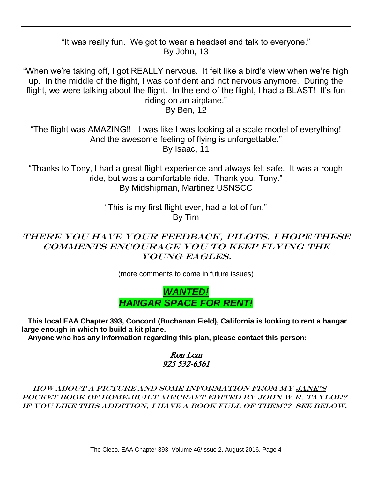"It was really fun. We got to wear a headset and talk to everyone." By John, 13

"When we're taking off, I got REALLY nervous. It felt like a bird's view when we're high up. In the middle of the flight, I was confident and not nervous anymore. During the flight, we were talking about the flight. In the end of the flight, I had a BLAST! It's fun riding on an airplane."

By Ben, 12

"The flight was AMAZING!! It was like I was looking at a scale model of everything! And the awesome feeling of flying is unforgettable." By Isaac, 11

"Thanks to Tony, I had a great flight experience and always felt safe. It was a rough ride, but was a comfortable ride. Thank you, Tony." By Midshipman, Martinez USNSCC

> "This is my first flight ever, had a lot of fun." By Tim

## There you have your feedback, pilots. I hope these comments encourage you to keep flying the Young Eagles.

(more comments to come in future issues)



 **This local EAA Chapter 393, Concord (Buchanan Field), California is looking to rent a hangar large enough in which to build a kit plane.**

 **Anyone who has any information regarding this plan, please contact this person:**

#### Ron Lem 925 532-6561

 How about a picture and some information from my Jane's Pocket Book of Home-Built Aircraft Edited by John W.R. Taylor? If you like this addition, I have a book full of them?? See below.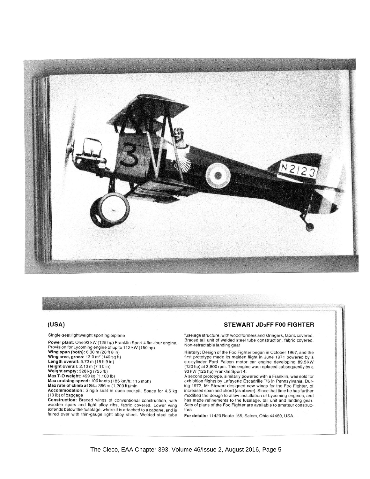

#### $(USA)$

Single-seat lightweight sporting biplane

Power plant: One 93 kW (125 hp) Franklin Sport 4 flat-four engine. Provision for Lycoming engine of up to 112 kW (150 hp)<br>Wing span (both): 6.30 m (20 ft 8 in)<br>Wing span (both): 6.30 m (20 ft 8 in)

wing area, gross:  $13.0 \text{ m}^2$  (140 solution)<br>Length overall:  $5.72 \text{ m}$  (18 ft 9 in)<br>Height overall:  $2.13 \text{ m}$  (7 ft 0 in)

Weight empty: 328 kg (725 lb)

Weight empty: 328 kg (725 lb)<br>Max T-O weight: 499 kg (1,100 lb)<br>Max cruising speed: 100 knots (185 km/h; 115 mph)

Max rate of climb at S/L: 366 m (1,200 ft)/min

Accommodation: Single seat in open cockpit. Space for 4.5 kg (10 lb) of baggage

**Construction:** Braced wings of conventional construction, with<br>wooden spars and light alloy ribs, fabric covered. Lower wing extends below the fuselage, where it is attached to a cabane, and is faired over with thin-gauge light alloy sheet. Welded steel tube

#### STEWART JD<sub>2</sub>FF F00 FIGHTER

fuselage structure, with wood formers and stringers, fabric covered. Braced tail unit of welded steel tube construction, fabric covered. Non-retractable landing gear

History: Design of the Foo Fighter began in October 1967, and the<br>first prototype made its maiden flight in June 1971 powered by a<br>six-cylinder Ford Falcon motor car engine developing 89.5 kW<br>(120 hp) at 3,800 rpm. This en

A second prototype, similarly powered with a Franklin, was sold for exhibition flights by Lafayette Escadrille '76 in Pennsylvania. During 1972, Mr Stewart designed new wings for the Foo Fighter, of increased span and chord (as above). Since that time he has further modified the design to allow installation of Lycoming engines, and has made refinements to the fuselage, tail unit and landing gear. Sets of plans of the Foo Fighter are available to amateur constructors

For details: 11420 Route 165, Salem, Ohio 44460, USA.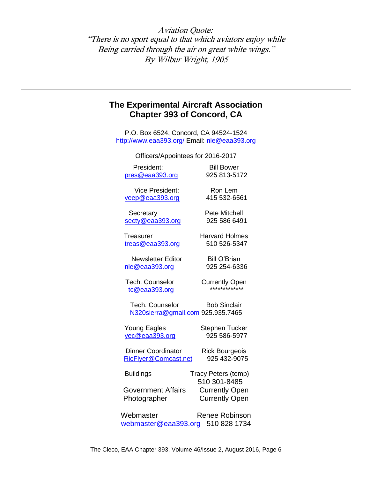Aviation Quote: "There is no sport equal to that which aviators enjoy while Being carried through the air on great white wings." By Wilbur Wright, 1905

#### **The Experimental Aircraft Association Chapter 393 of Concord, CA**

P.O. Box 6524, Concord, CA 94524-1524 <http://www.eaa393.org/> Email: [nle@eaa393.org](mailto:nle@eaa393.org)

| Officers/Appointees for 2016-2017 |                       |
|-----------------------------------|-----------------------|
| President:                        | <b>Bill Bower</b>     |
| pres@eaa393.org                   | 925 813-5172          |
| <b>Vice President:</b>            | Ron Lem               |
| veep@eaa393.org                   | 415 532-6561          |
| Secretary                         | <b>Pete Mitchell</b>  |
| secty@eaa393.org                  | 925 586 6491          |
| Treasurer                         | <b>Harvard Holmes</b> |
| treas@eaa393.org                  | 510 526-5347          |
| <b>Newsletter Editor</b>          | <b>Bill O'Brian</b>   |
| nle@eaa393.org                    | 925 254-6336          |
| Tech. Counselor                   | <b>Currently Open</b> |
| tc@eaa393.org                     | *************         |
| Tech. Counselor                   | <b>Bob Sinclair</b>   |
| N320sierra@gmail.com 925.935.7465 |                       |
| <b>Young Eagles</b>               | <b>Stephen Tucker</b> |
| yec@eaa393.org                    | 925 586-5977          |
| <b>Dinner Coordinator</b>         | <b>Rick Bourgeois</b> |
| RicFlyer@Comcast.net              | 925 432-9075          |
| <b>Buildings</b>                  | Tracy Peters (temp)   |
|                                   | 510 301-8485          |
| <b>Government Affairs</b>         | <b>Currently Open</b> |
| Photographer                      | <b>Currently Open</b> |
| Webmaster                         | <b>Renee Robinson</b> |
| webmaster@eaa393.org              | 510 828 1734          |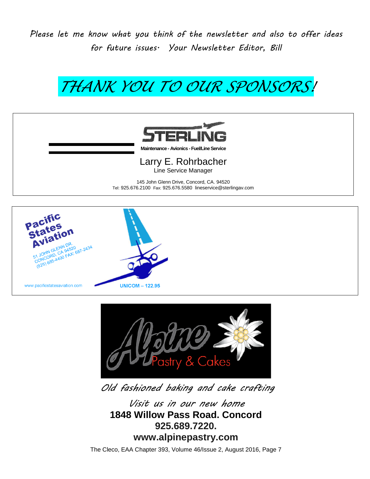*Please let me know what you think of the newsletter and also to offer ideas for future issues. Your Newsletter Editor, Bill*

# *THANK YOU TO OUR SPONSORS!*



**Maintenance - Avionics -Fuel/Line Service**

Larry E. Rohrbacher Line Service Manager

145 John Glenn Drive, Concord, CA. 94520 Tel: 925.676.2100 Fax: 925.676.5580 lineservice@sterlingav.com





*Old fashioned baking and cake crafting* 

*Visit us in our new home* **1848 Willow Pass Road. Concord 925.689.7220. www.alpinepastry.com**

The Cleco, EAA Chapter 393, Volume 46/Issue 2, August 2016, Page 7